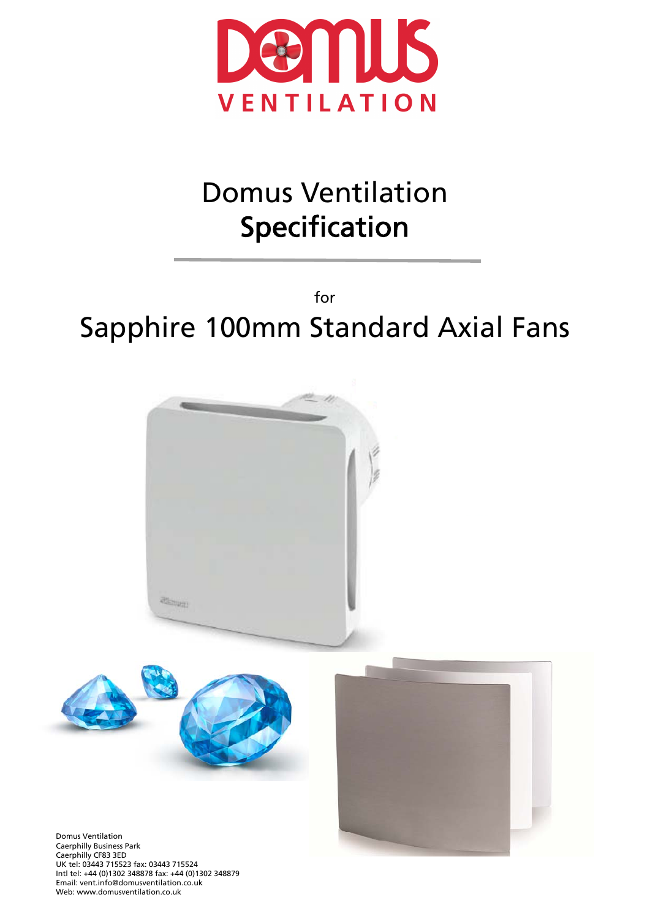

# Domus Ventilation Specification

for Sapphire 100mm Standard Axial Fans







Domus Ventilation Caerphilly Business Park Caerphilly CF83 3ED UK tel: 03443 715523 fax: 03443 715524 Intl tel: +44 (0)1302 348878 fax: +44 (0)1302 348879 Email: vent.info@domusventilation.co.uk Web: www.domusventilation.co.uk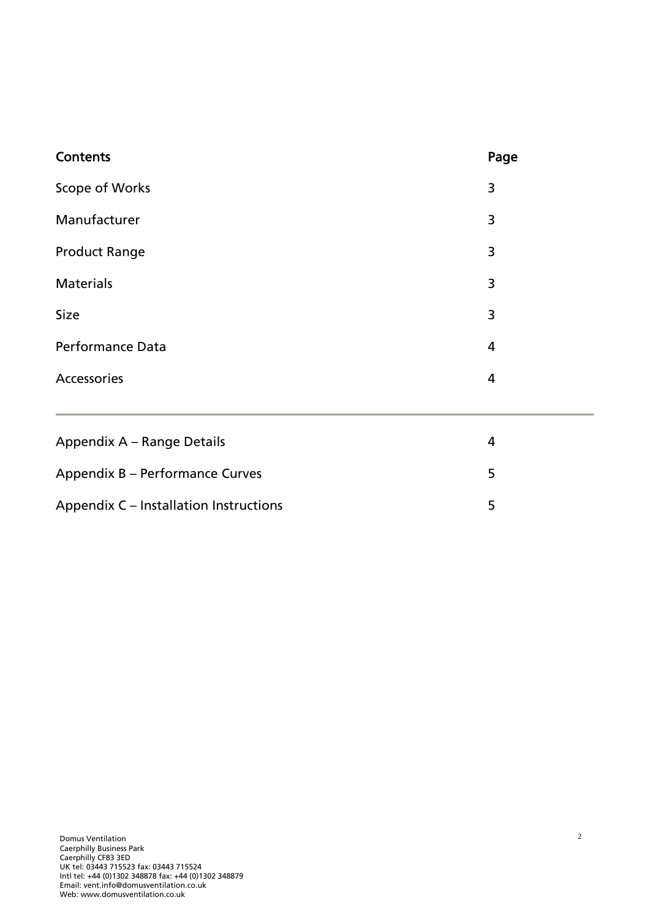| Contents                | Page |
|-------------------------|------|
| Scope of Works          | 3    |
| Manufacturer            | 3    |
| <b>Product Range</b>    | 3    |
| <b>Materials</b>        | 3    |
| Size                    | 3    |
| <b>Performance Data</b> | 4    |
| Accessories             | 4    |
|                         |      |

| Appendix A – Range Details             |    |
|----------------------------------------|----|
| Appendix B – Performance Curves        | -5 |
| Appendix C – Installation Instructions | -5 |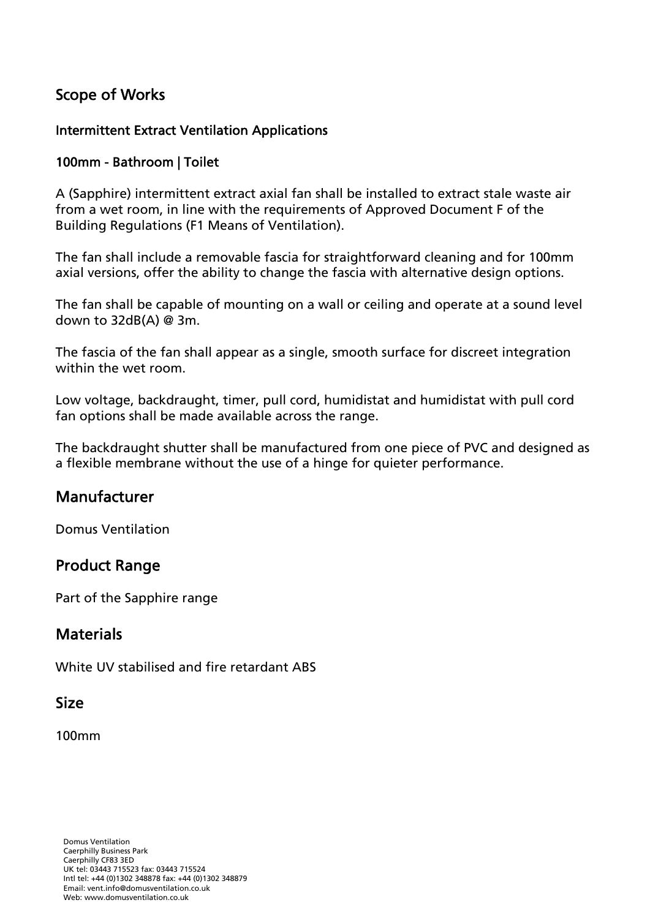## Scope of Works

#### Intermittent Extract Ventilation Applications

#### 100mm - Bathroom | Toilet

A (Sapphire) intermittent extract axial fan shall be installed to extract stale waste air from a wet room, in line with the requirements of Approved Document F of the Building Regulations (F1 Means of Ventilation).

The fan shall include a removable fascia for straightforward cleaning and for 100mm axial versions, offer the ability to change the fascia with alternative design options.

The fan shall be capable of mounting on a wall or ceiling and operate at a sound level down to 32dB(A) @ 3m.

The fascia of the fan shall appear as a single, smooth surface for discreet integration within the wet room.

Low voltage, backdraught, timer, pull cord, humidistat and humidistat with pull cord fan options shall be made available across the range.

The backdraught shutter shall be manufactured from one piece of PVC and designed as a flexible membrane without the use of a hinge for quieter performance.

#### Manufacturer

Domus Ventilation

#### Product Range

Part of the Sapphire range

#### **Materials**

White UV stabilised and fire retardant ABS

#### Size

100mm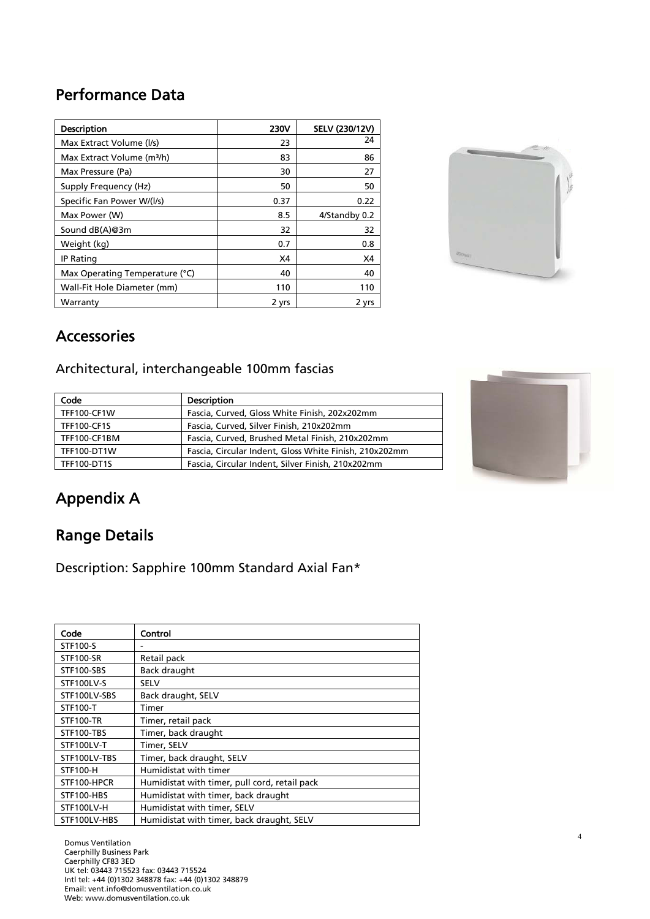## Performance Data

| <b>Description</b>                     | <b>230V</b> | SELV (230/12V) |
|----------------------------------------|-------------|----------------|
| Max Extract Volume (I/s)               | 23          | 24             |
| Max Extract Volume (m <sup>3</sup> /h) | 83          | 86             |
| Max Pressure (Pa)                      | 30          | 27             |
| Supply Frequency (Hz)                  | 50          | 50             |
| Specific Fan Power W/(I/s)             | 0.37        | 0.22           |
| Max Power (W)                          | 8.5         | 4/Standby 0.2  |
| Sound dB(A)@3m                         | 32          | 32             |
| Weight (kg)                            | 0.7         | 0.8            |
| <b>IP Rating</b>                       | X4          | X4             |
| Max Operating Temperature (°C)         | 40          | 40             |
| Wall-Fit Hole Diameter (mm)            | 110         | 110            |
| Warranty                               | 2 yrs       | 2 yrs          |



## Accessories

Architectural, interchangeable 100mm fascias

| Code               | <b>Description</b>                                     |
|--------------------|--------------------------------------------------------|
| TFF100-CF1W        | Fascia, Curved, Gloss White Finish, 202x202mm          |
| <b>TFF100-CF1S</b> | Fascia, Curved, Silver Finish, 210x202mm               |
| TFF100-CF1BM       | Fascia, Curved, Brushed Metal Finish, 210x202mm        |
| <b>TFF100-DT1W</b> | Fascia, Circular Indent, Gloss White Finish, 210x202mm |
| <b>TFF100-DT1S</b> | Fascia, Circular Indent, Silver Finish, 210x202mm      |



4

# Appendix A

## Range Details

Description: Sapphire 100mm Standard Axial Fan\*

| Code             | Control                                       |
|------------------|-----------------------------------------------|
| STF100-S         |                                               |
| <b>STF100-SR</b> | Retail pack                                   |
| STF100-SBS       | Back draught                                  |
| STF100LV-S       | <b>SELV</b>                                   |
| STF100LV-SBS     | Back draught, SELV                            |
| STF100-T         | Timer                                         |
| <b>STF100-TR</b> | Timer, retail pack                            |
| STF100-TBS       | Timer, back draught                           |
| STF100LV-T       | Timer, SELV                                   |
| STF100LV-TBS     | Timer, back draught, SELV                     |
| <b>STF100-H</b>  | Humidistat with timer                         |
| STF100-HPCR      | Humidistat with timer, pull cord, retail pack |
| STF100-HBS       | Humidistat with timer, back draught           |
| STF100LV-H       | Humidistat with timer, SELV                   |
| STF100LV-HBS     | Humidistat with timer, back draught, SELV     |

Domus Ventilation Caerphilly Business Park Caerphilly CF83 3ED UK tel: 03443 715523 fax: 03443 715524 Intl tel: +44 (0)1302 348878 fax: +44 (0)1302 348879 Email: vent.info@domusventilation.co.uk Web: www.domusventilation.co.uk